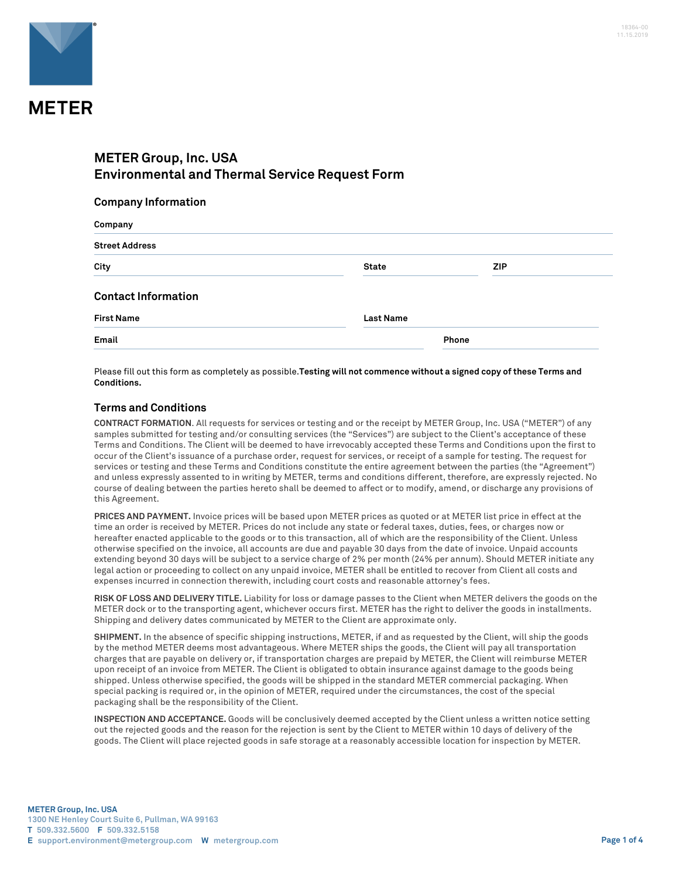

# **METER Group, Inc. USA Environmental and Thermal Service Request Form**

#### **Company Information**

| Company                    |                  |            |  |
|----------------------------|------------------|------------|--|
| <b>Street Address</b>      |                  |            |  |
| City                       | <b>State</b>     | <b>ZIP</b> |  |
| <b>Contact Information</b> |                  |            |  |
| <b>First Name</b>          | <b>Last Name</b> |            |  |
| Email                      |                  | Phone      |  |

Please fill out this form as completely as possible.**Testing will not commence without a signed copy of these Terms and Conditions.**

### **Terms and Conditions**

**CONTRACT FORMATION**. All requests for services or testing and or the receipt by METER Group, Inc. USA ("METER") of any samples submitted for testing and/or consulting services (the "Services") are subject to the Client's acceptance of these Terms and Conditions. The Client will be deemed to have irrevocably accepted these Terms and Conditions upon the first to occur of the Client's issuance of a purchase order, request for services, or receipt of a sample for testing. The request for services or testing and these Terms and Conditions constitute the entire agreement between the parties (the "Agreement") and unless expressly assented to in writing by METER, terms and conditions different, therefore, are expressly rejected. No course of dealing between the parties hereto shall be deemed to affect or to modify, amend, or discharge any provisions of this Agreement.

**PRICES AND PAYMENT.** Invoice prices will be based upon METER prices as quoted or at METER list price in effect at the time an order is received by METER. Prices do not include any state or federal taxes, duties, fees, or charges now or hereafter enacted applicable to the goods or to this transaction, all of which are the responsibility of the Client. Unless otherwise specified on the invoice, all accounts are due and payable 30 days from the date of invoice. Unpaid accounts extending beyond 30 days will be subject to a service charge of 2% per month (24% per annum). Should METER initiate any legal action or proceeding to collect on any unpaid invoice, METER shall be entitled to recover from Client all costs and expenses incurred in connection therewith, including court costs and reasonable attorney's fees.

**RISK OF LOSS AND DELIVERY TITLE.** Liability for loss or damage passes to the Client when METER delivers the goods on the METER dock or to the transporting agent, whichever occurs first. METER has the right to deliver the goods in installments. Shipping and delivery dates communicated by METER to the Client are approximate only.

**SHIPMENT.** In the absence of specific shipping instructions, METER, if and as requested by the Client, will ship the goods by the method METER deems most advantageous. Where METER ships the goods, the Client will pay all transportation charges that are payable on delivery or, if transportation charges are prepaid by METER, the Client will reimburse METER upon receipt of an invoice from METER. The Client is obligated to obtain insurance against damage to the goods being shipped. Unless otherwise specified, the goods will be shipped in the standard METER commercial packaging. When special packing is required or, in the opinion of METER, required under the circumstances, the cost of the special packaging shall be the responsibility of the Client.

**INSPECTION AND ACCEPTANCE.** Goods will be conclusively deemed accepted by the Client unless a written notice setting out the rejected goods and the reason for the rejection is sent by the Client to METER within 10 days of delivery of the goods. The Client will place rejected goods in safe storage at a reasonably accessible location for inspection by METER.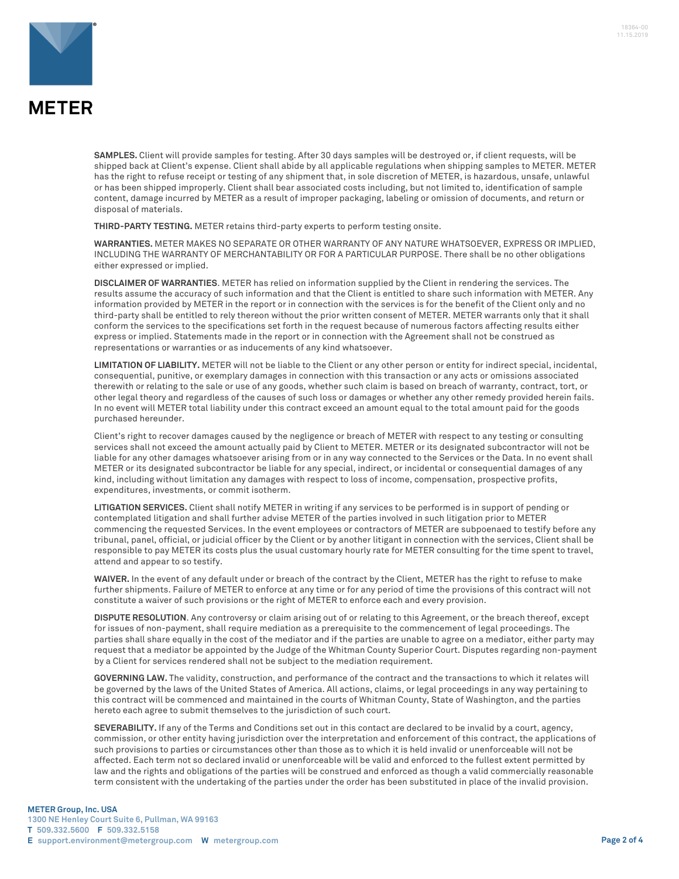

**SAMPLES.** Client will provide samples for testing. After 30 days samples will be destroyed or, if client requests, will be shipped back at Client's expense. Client shall abide by all applicable regulations when shipping samples to METER. METER has the right to refuse receipt or testing of any shipment that, in sole discretion of METER, is hazardous, unsafe, unlawful or has been shipped improperly. Client shall bear associated costs including, but not limited to, identification of sample content, damage incurred by METER as a result of improper packaging, labeling or omission of documents, and return or disposal of materials.

**THIRD-PARTY TESTING.** METER retains third-party experts to perform testing onsite.

**WARRANTIES.** METER MAKES NO SEPARATE OR OTHER WARRANTY OF ANY NATURE WHATSOEVER, EXPRESS OR IMPLIED, INCLUDING THE WARRANTY OF MERCHANTABILITY OR FOR A PARTICULAR PURPOSE. There shall be no other obligations either expressed or implied.

**DISCLAIMER OF WARRANTIES**. METER has relied on information supplied by the Client in rendering the services. The results assume the accuracy of such information and that the Client is entitled to share such information with METER. Any information provided by METER in the report or in connection with the services is for the benefit of the Client only and no third-party shall be entitled to rely thereon without the prior written consent of METER. METER warrants only that it shall conform the services to the specifications set forth in the request because of numerous factors affecting results either express or implied. Statements made in the report or in connection with the Agreement shall not be construed as representations or warranties or as inducements of any kind whatsoever.

**LIMITATION OF LIABILITY.** METER will not be liable to the Client or any other person or entity for indirect special, incidental, consequential, punitive, or exemplary damages in connection with this transaction or any acts or omissions associated therewith or relating to the sale or use of any goods, whether such claim is based on breach of warranty, contract, tort, or other legal theory and regardless of the causes of such loss or damages or whether any other remedy provided herein fails. In no event will METER total liability under this contract exceed an amount equal to the total amount paid for the goods purchased hereunder.

Client's right to recover damages caused by the negligence or breach of METER with respect to any testing or consulting services shall not exceed the amount actually paid by Client to METER. METER or its designated subcontractor will not be liable for any other damages whatsoever arising from or in any way connected to the Services or the Data. In no event shall METER or its designated subcontractor be liable for any special, indirect, or incidental or consequential damages of any kind, including without limitation any damages with respect to loss of income, compensation, prospective profits, expenditures, investments, or commit isotherm.

**LITIGATION SERVICES.** Client shall notify METER in writing if any services to be performed is in support of pending or contemplated litigation and shall further advise METER of the parties involved in such litigation prior to METER commencing the requested Services. In the event employees or contractors of METER are subpoenaed to testify before any tribunal, panel, official, or judicial officer by the Client or by another litigant in connection with the services, Client shall be responsible to pay METER its costs plus the usual customary hourly rate for METER consulting for the time spent to travel, attend and appear to so testify.

**WAIVER.** In the event of any default under or breach of the contract by the Client, METER has the right to refuse to make further shipments. Failure of METER to enforce at any time or for any period of time the provisions of this contract will not constitute a waiver of such provisions or the right of METER to enforce each and every provision.

**DISPUTE RESOLUTION**. Any controversy or claim arising out of or relating to this Agreement, or the breach thereof, except for issues of non-payment, shall require mediation as a prerequisite to the commencement of legal proceedings. The parties shall share equally in the cost of the mediator and if the parties are unable to agree on a mediator, either party may request that a mediator be appointed by the Judge of the Whitman County Superior Court. Disputes regarding non-payment by a Client for services rendered shall not be subject to the mediation requirement.

**GOVERNING LAW.** The validity, construction, and performance of the contract and the transactions to which it relates will be governed by the laws of the United States of America. All actions, claims, or legal proceedings in any way pertaining to this contract will be commenced and maintained in the courts of Whitman County, State of Washington, and the parties hereto each agree to submit themselves to the jurisdiction of such court.

**SEVERABILITY.** If any of the Terms and Conditions set out in this contact are declared to be invalid by a court, agency, commission, or other entity having jurisdiction over the interpretation and enforcement of this contract, the applications of such provisions to parties or circumstances other than those as to which it is held invalid or unenforceable will not be affected. Each term not so declared invalid or unenforceable will be valid and enforced to the fullest extent permitted by law and the rights and obligations of the parties will be construed and enforced as though a valid commercially reasonable term consistent with the undertaking of the parties under the order has been substituted in place of the invalid provision.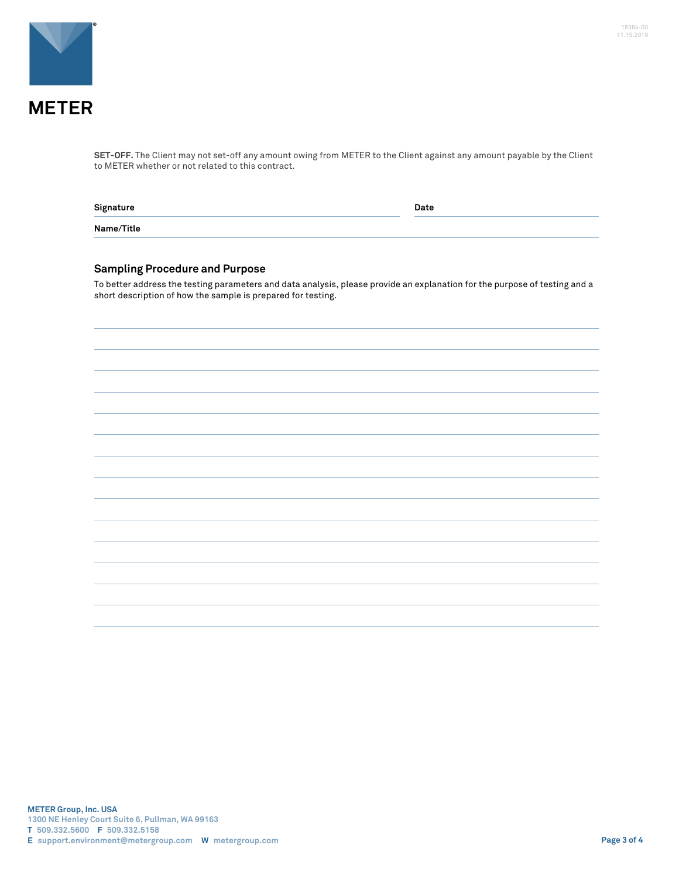

**SET-OFF.** The Client may not set-off any amount owing from METER to the Client against any amount payable by the Client to METER whether or not related to this contract.

| Signature  | Date |
|------------|------|
| Name/Title |      |

## **Sampling Procedure and Purpose**

To better address the testing parameters and data analysis, please provide an explanation for the purpose of testing and a short description of how the sample is prepared for testing.